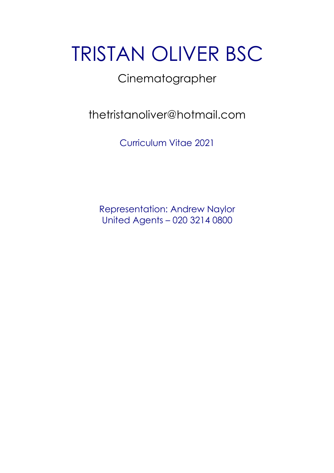# TRISTAN OLIVER BSC

## Cinematographer

thetristanoliver@hotmail.com

Curriculum Vitae 2021

Representation: Andrew Naylor United Agents – 020 3214 0800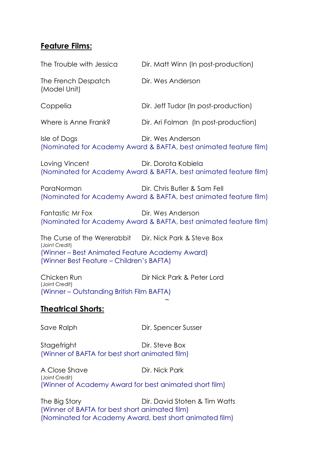#### **Feature Films:**

| The Trouble with Jessica                                                                                     | Dir. Matt Winn (In post-production)                                                               |  |
|--------------------------------------------------------------------------------------------------------------|---------------------------------------------------------------------------------------------------|--|
| The French Despatch<br>(Model Unit)                                                                          | Dir. Wes Anderson                                                                                 |  |
| Coppelia                                                                                                     | Dir. Jeff Tudor (In post-production)                                                              |  |
| Where is Anne Frank?                                                                                         | Dir. Ari Folman (In post-production)                                                              |  |
| Isle of Dogs                                                                                                 | Dir. Wes Anderson<br>(Nominated for Academy Award & BAFTA, best animated feature film)            |  |
| Loving Vincent                                                                                               | Dir. Dorota Kobiela<br>(Nominated for Academy Award & BAFTA, best animated feature film)          |  |
| ParaNorman                                                                                                   | Dir. Chris Butler & Sam Fell<br>(Nominated for Academy Award & BAFTA, best animated feature film) |  |
| Fantastic Mr Fox                                                                                             | Dir. Wes Anderson<br>(Nominated for Academy Award & BAFTA, best animated feature film)            |  |
| The Curse of the Wererabbit Dir. Nick Park & Steve Box                                                       |                                                                                                   |  |
| (Joint Credit)<br>(Winner – Best Animated Feature Academy Award)<br>(Winner Best Feature - Children's BAFTA) |                                                                                                   |  |
| Chicken Run<br>(Joint Credit)                                                                                | Dir Nick Park & Peter Lord                                                                        |  |
| (Winner - Outstanding British Film BAFTA)                                                                    |                                                                                                   |  |
| <b>Theatrical Shorts:</b>                                                                                    |                                                                                                   |  |

Save Ralph Dir. Spencer Susser

Stagefright Dir. Steve Box (Winner of BAFTA for best short animated film)

A Close Shave Dir. Nick Park (Joint Credit) (Winner of Academy Award for best animated short film)

The Big Story **Dir. David Stoten & Tim Watts** (Winner of BAFTA for best short animated film) (Nominated for Academy Award, best short animated film)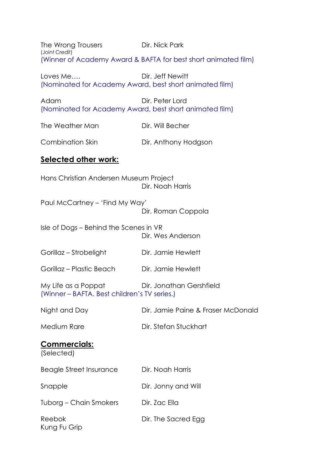The Wrong Trousers **Direct Direct Park** (Joint Credit) (Winner of Academy Award & BAFTA for best short animated film)

Loves Me…. Dir. Jeff Newitt (Nominated for Academy Award, best short animated film)

Adam Dir. Peter Lord (Nominated for Academy Award, best short animated film)

The Weather Man Dir. Will Becher

Combination Skin Dir. Anthony Hodgson

#### **Selected other work:**

Hans Christian Andersen Museum Project Dir. Noah Harris Paul McCartney – 'Find My Way' Dir. Roman Coppola Isle of Dogs – Behind the Scenes in VR Dir. Wes Anderson Gorillaz – Strobelight Dir. Jamie Hewlett Gorillaz – Plastic Beach Dir. Jamie Hewlett My Life as a Poppat Dir. Jonathan Gershfield (Winner – BAFTA. Best children's TV series.) Night and Day Dir. Jamie Paine & Fraser McDonald Medium Rare **Dir.** Stefan Stuckhart **Commercials:** (Selected) Beagle Street Insurance Dir. Noah Harris Snapple Dir. Jonny and Will Tuborg – Chain Smokers Dir. Zac Ella Reebok Dir. The Sacred Egg Kung Fu Grip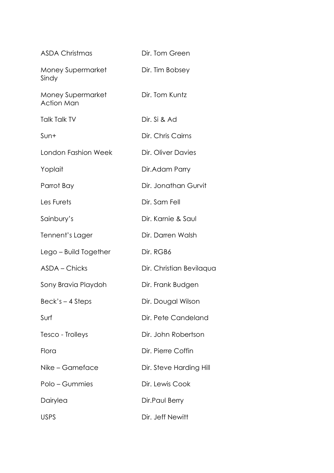| <b>ASDA Christmas</b>                         | Dir. Tom Green           |
|-----------------------------------------------|--------------------------|
| <b>Money Supermarket</b><br>Sindy             | Dir. Tim Bobsey          |
| <b>Money Supermarket</b><br><b>Action Man</b> | Dir. Tom Kuntz           |
| <b>Talk Talk TV</b>                           | Dir. Si & Ad             |
| Sun+                                          | Dir. Chris Cairns        |
| <b>London Fashion Week</b>                    | Dir. Oliver Davies       |
| Yoplait                                       | Dir.Adam Parry           |
| Parrot Bay                                    | Dir. Jonathan Gurvit     |
| Les Furets                                    | Dir. Sam Fell            |
| Sainbury's                                    | Dir. Karnie & Saul       |
| Tennent's Lager                               | Dir. Darren Walsh        |
| Lego – Build Together                         | Dir. RGB6                |
| <b>ASDA - Chicks</b>                          | Dir. Christian Bevilaqua |
| Sony Bravia Playdoh                           | Dir. Frank Budgen        |
| Beck's - 4 Steps                              | Dir. Dougal Wilson       |
| Surf                                          | Dir. Pete Candeland      |
| Tesco - Trolleys                              | Dir. John Robertson      |
| Flora                                         | Dir. Pierre Coffin       |
| Nike – Gameface                               | Dir. Steve Harding Hill  |
| Polo – Gummies                                | Dir. Lewis Cook          |
| Dairylea                                      | Dir.Paul Berry           |
| <b>USPS</b>                                   | Dir. Jeff Newitt         |